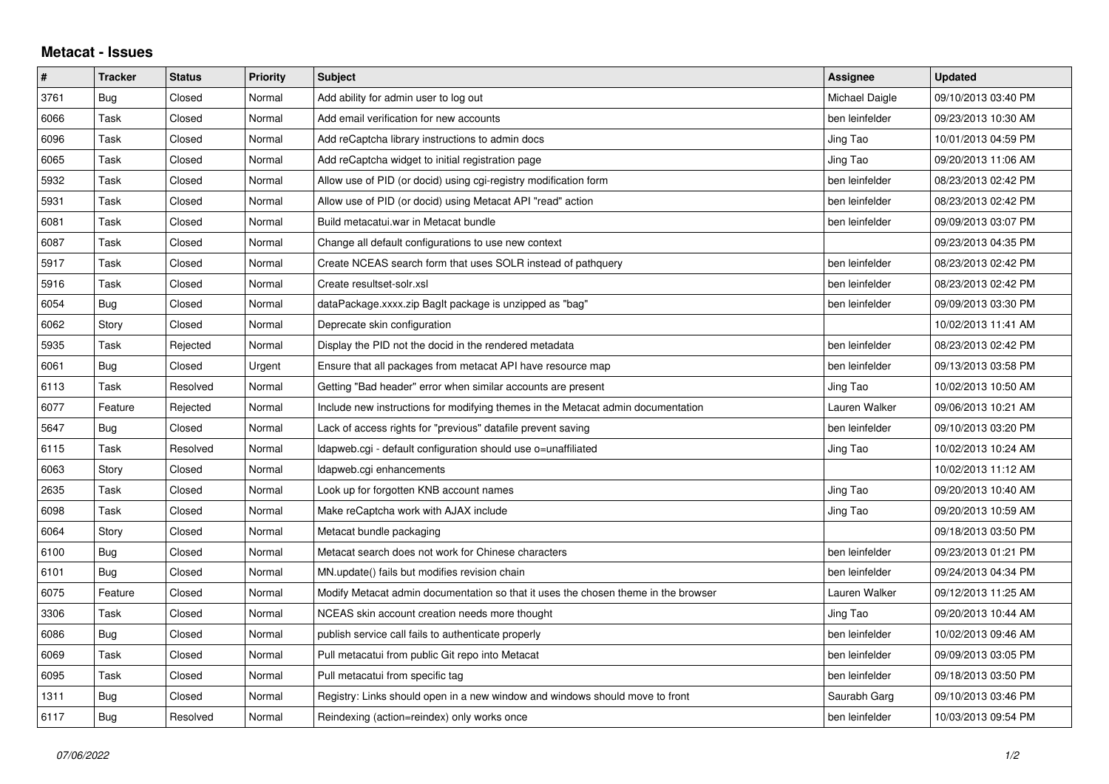## **Metacat - Issues**

| #    | <b>Tracker</b> | <b>Status</b> | <b>Priority</b> | <b>Subject</b>                                                                     | Assignee       | <b>Updated</b>      |
|------|----------------|---------------|-----------------|------------------------------------------------------------------------------------|----------------|---------------------|
| 3761 | <b>Bug</b>     | Closed        | Normal          | Add ability for admin user to log out                                              | Michael Daigle | 09/10/2013 03:40 PM |
| 6066 | Task           | Closed        | Normal          | Add email verification for new accounts                                            | ben leinfelder | 09/23/2013 10:30 AM |
| 6096 | Task           | Closed        | Normal          | Add reCaptcha library instructions to admin docs                                   | Jing Tao       | 10/01/2013 04:59 PM |
| 6065 | Task           | Closed        | Normal          | Add reCaptcha widget to initial registration page                                  | Jing Tao       | 09/20/2013 11:06 AM |
| 5932 | Task           | Closed        | Normal          | Allow use of PID (or docid) using cgi-registry modification form                   | ben leinfelder | 08/23/2013 02:42 PM |
| 5931 | Task           | Closed        | Normal          | Allow use of PID (or docid) using Metacat API "read" action                        | ben leinfelder | 08/23/2013 02:42 PM |
| 6081 | Task           | Closed        | Normal          | Build metacatui.war in Metacat bundle                                              | ben leinfelder | 09/09/2013 03:07 PM |
| 6087 | Task           | Closed        | Normal          | Change all default configurations to use new context                               |                | 09/23/2013 04:35 PM |
| 5917 | Task           | Closed        | Normal          | Create NCEAS search form that uses SOLR instead of pathquery                       | ben leinfelder | 08/23/2013 02:42 PM |
| 5916 | Task           | Closed        | Normal          | Create resultset-solr.xsl                                                          | ben leinfelder | 08/23/2013 02:42 PM |
| 6054 | Bug            | Closed        | Normal          | dataPackage.xxxx.zip BagIt package is unzipped as "bag"                            | ben leinfelder | 09/09/2013 03:30 PM |
| 6062 | Story          | Closed        | Normal          | Deprecate skin configuration                                                       |                | 10/02/2013 11:41 AM |
| 5935 | Task           | Rejected      | Normal          | Display the PID not the docid in the rendered metadata                             | ben leinfelder | 08/23/2013 02:42 PM |
| 6061 | Bug            | Closed        | Urgent          | Ensure that all packages from metacat API have resource map                        | ben leinfelder | 09/13/2013 03:58 PM |
| 6113 | Task           | Resolved      | Normal          | Getting "Bad header" error when similar accounts are present                       | Jing Tao       | 10/02/2013 10:50 AM |
| 6077 | Feature        | Rejected      | Normal          | Include new instructions for modifying themes in the Metacat admin documentation   | Lauren Walker  | 09/06/2013 10:21 AM |
| 5647 | Bug            | Closed        | Normal          | Lack of access rights for "previous" datafile prevent saving                       | ben leinfelder | 09/10/2013 03:20 PM |
| 6115 | Task           | Resolved      | Normal          | Idapweb.cgi - default configuration should use o=unaffiliated                      | Jing Tao       | 10/02/2013 10:24 AM |
| 6063 | Story          | Closed        | Normal          | Idapweb.cgi enhancements                                                           |                | 10/02/2013 11:12 AM |
| 2635 | Task           | Closed        | Normal          | Look up for forgotten KNB account names                                            | Jing Tao       | 09/20/2013 10:40 AM |
| 6098 | Task           | Closed        | Normal          | Make reCaptcha work with AJAX include                                              | Jing Tao       | 09/20/2013 10:59 AM |
| 6064 | Story          | Closed        | Normal          | Metacat bundle packaging                                                           |                | 09/18/2013 03:50 PM |
| 6100 | Bug            | Closed        | Normal          | Metacat search does not work for Chinese characters                                | ben leinfelder | 09/23/2013 01:21 PM |
| 6101 | <b>Bug</b>     | Closed        | Normal          | MN.update() fails but modifies revision chain                                      | ben leinfelder | 09/24/2013 04:34 PM |
| 6075 | Feature        | Closed        | Normal          | Modify Metacat admin documentation so that it uses the chosen theme in the browser | Lauren Walker  | 09/12/2013 11:25 AM |
| 3306 | Task           | Closed        | Normal          | NCEAS skin account creation needs more thought                                     | Jing Tao       | 09/20/2013 10:44 AM |
| 6086 | Bug            | Closed        | Normal          | publish service call fails to authenticate properly                                | ben leinfelder | 10/02/2013 09:46 AM |
| 6069 | Task           | Closed        | Normal          | Pull metacatui from public Git repo into Metacat                                   | ben leinfelder | 09/09/2013 03:05 PM |
| 6095 | Task           | Closed        | Normal          | Pull metacatui from specific tag                                                   | ben leinfelder | 09/18/2013 03:50 PM |
| 1311 | Bug            | Closed        | Normal          | Registry: Links should open in a new window and windows should move to front       | Saurabh Garg   | 09/10/2013 03:46 PM |
| 6117 | Bug            | Resolved      | Normal          | Reindexing (action=reindex) only works once                                        | ben leinfelder | 10/03/2013 09:54 PM |